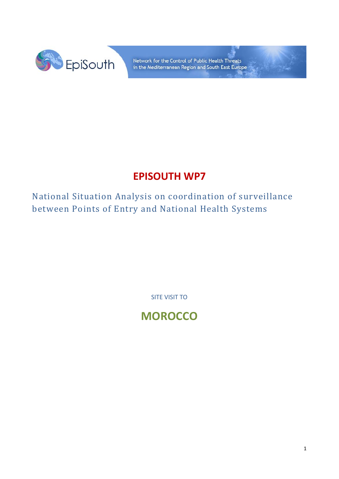

Network for the Control of Public Health Threats in the Mediterranean Region and South East Europe

## **EPISOUTH WP7**

National Situation Analysis on coordination of surveillance between Points of Entry and National Health Systems

SITE VISIT TO

**MOROCCO**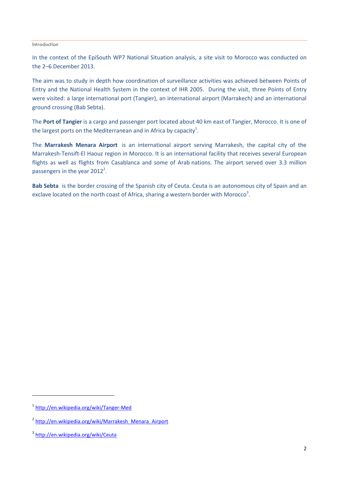## Introduction

In the context of the EpiSouth WP7 National Situation analysis, a site visit to Morocco was conducted on the 2–6 December 2013.

The aim was to study in depth how coordination of surveillance activities was achieved between Points of Entry and the National Health System in the context of IHR 2005. During the visit, three Points of Entry were visited: a large international port (Tangier), an international airport (Marrakech) and an international ground crossing (Bab Sebta).

The **Port of Tangier** is a cargo and passenger port located about 40 km east of Tangier, Morocco. It is one of the largest ports on the Mediterranean and in Africa by capacity<sup>1</sup>.

The **Marrakesh Menara Airport** is an international airport serving Marrakesh, the capital city of the Marrakesh-Tensift-El Haouz region in Morocco. It is an international facility that receives several European flights as well as flights from Casablanca and some of Arab nations. The airport served over 3.3 million passengers in the year  $2012^2$ .

**Bab Sebta** is the border crossing of the Spanish city of Ceuta. Ceuta is an autonomous city of Spain and an exclave located on the north coast of Africa, sharing a western border with Morocco<sup>3</sup>.

**.** 

<sup>1</sup> <http://en.wikipedia.org/wiki/Tanger-Med>

<sup>&</sup>lt;sup>2</sup> http://en.wikipedia.org/wiki/Marrakesh Menara Airport

<sup>&</sup>lt;sup>3</sup> <http://en.wikipedia.org/wiki/Ceuta>